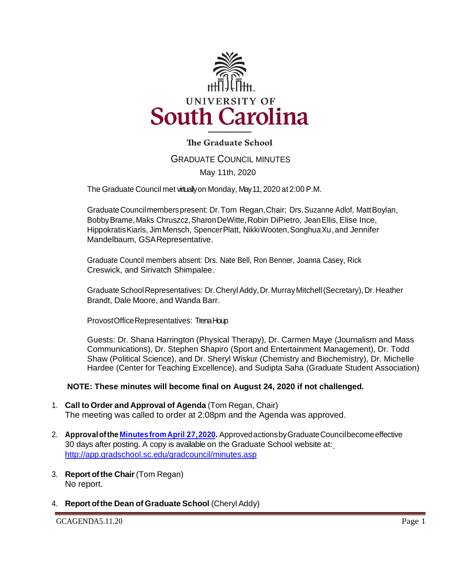

## **The Graduate School**

# GRADUATE COUNCIL MINUTES May 11th, 2020

The Graduate Council met virtually on Monday, May 11, 2020 at 2:00 P.M.

GraduateCouncilmemberspresent: Dr.Tom Regan, Chair; Drs.Suzanne Adlof, MattBoylan, Bobby Brame, Maks Chruszcz, Sharon DeWitte, Robin DiPietro, Jean Ellis, Elise Ince, HippokratisKiaris, JimMensch, SpencerPlatt, NikkiWooten,SonghuaXu, and Jennifer Mandelbaum, GSARepresentative.

Graduate Council members absent: Drs. Nate Bell, Ron Benner, Joanna Casey, Rick Creswick, and Sirivatch Shimpalee.

Graduate School Representatives: Dr. Cheryl Addy, Dr. Murray Mitchell (Secretary), Dr. Heather Brandt, Dale Moore, and Wanda Barr.

ProvostOfficeRepresentatives: Trena Houp

Guests: Dr. Shana Harrington (Physical Therapy), Dr. Carmen Maye (Journalism and Mass Communications), Dr. Stephen Shapiro (Sport and Entertainment Management), Dr. Todd Shaw (Political Science), and Dr. Sheryl Wiskur (Chemistry and Biochemistry), Dr. Michelle Hardee (Center for Teaching Excellence), and Sudipta Saha (Graduate Student Association)

#### **NOTE: These minutes will become final on August 24, 2020 if not challenged.**

- 1. **Call to Order and Approval of Agenda** (Tom Regan, Chair) The meeting was called to order at 2:08pm and the Agenda was approved.
- 2. **Approvalofthe Minutes [fromApril 27,2020.](file:///C:/Users/wandab/Desktop/GCMINSApr272020mfm.pdf)** ApprovedactionsbyGraduateCouncilbecomeeffective 30 days after posting. A copy is available on the Graduate School website at[:](http://app.gradschool.sc.edu/gradcouncil/minutes.asp) <http://app.gradschool.sc.edu/gradcouncil/minutes.asp>
- 3. **Report of the Chair** (Tom Regan) No report.
- 4. **Report ofthe Dean of Graduate School** (CherylAddy)

GCAGENDA5.11.20 Page 1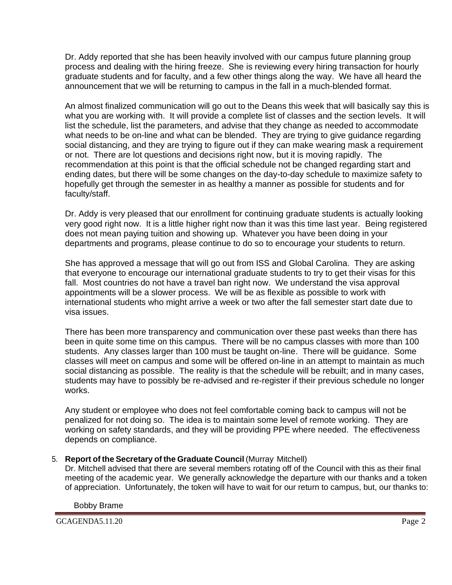Dr. Addy reported that she has been heavily involved with our campus future planning group process and dealing with the hiring freeze. She is reviewing every hiring transaction for hourly graduate students and for faculty, and a few other things along the way. We have all heard the announcement that we will be returning to campus in the fall in a much-blended format.

An almost finalized communication will go out to the Deans this week that will basically say this is what you are working with. It will provide a complete list of classes and the section levels. It will list the schedule, list the parameters, and advise that they change as needed to accommodate what needs to be on-line and what can be blended. They are trying to give guidance regarding social distancing, and they are trying to figure out if they can make wearing mask a requirement or not. There are lot questions and decisions right now, but it is moving rapidly. The recommendation at this point is that the official schedule not be changed regarding start and ending dates, but there will be some changes on the day-to-day schedule to maximize safety to hopefully get through the semester in as healthy a manner as possible for students and for faculty/staff.

Dr. Addy is very pleased that our enrollment for continuing graduate students is actually looking very good right now. It is a little higher right now than it was this time last year. Being registered does not mean paying tuition and showing up. Whatever you have been doing in your departments and programs, please continue to do so to encourage your students to return.

She has approved a message that will go out from ISS and Global Carolina. They are asking that everyone to encourage our international graduate students to try to get their visas for this fall. Most countries do not have a travel ban right now. We understand the visa approval appointments will be a slower process. We will be as flexible as possible to work with international students who might arrive a week or two after the fall semester start date due to visa issues.

There has been more transparency and communication over these past weeks than there has been in quite some time on this campus. There will be no campus classes with more than 100 students. Any classes larger than 100 must be taught on-line. There will be guidance. Some classes will meet on campus and some will be offered on-line in an attempt to maintain as much social distancing as possible. The reality is that the schedule will be rebuilt; and in many cases, students may have to possibly be re-advised and re-register if their previous schedule no longer works.

Any student or employee who does not feel comfortable coming back to campus will not be penalized for not doing so. The idea is to maintain some level of remote working. They are working on safety standards, and they will be providing PPE where needed. The effectiveness depends on compliance.

## 5. **Report of the Secretary of the Graduate Council** (Murray Mitchell)

Dr. Mitchell advised that there are several members rotating off of the Council with this as their final meeting of the academic year. We generally acknowledge the departure with our thanks and a token of appreciation. Unfortunately, the token will have to wait for our return to campus, but, our thanks to:

Bobby Brame

GCAGENDA5.11.20 Page 2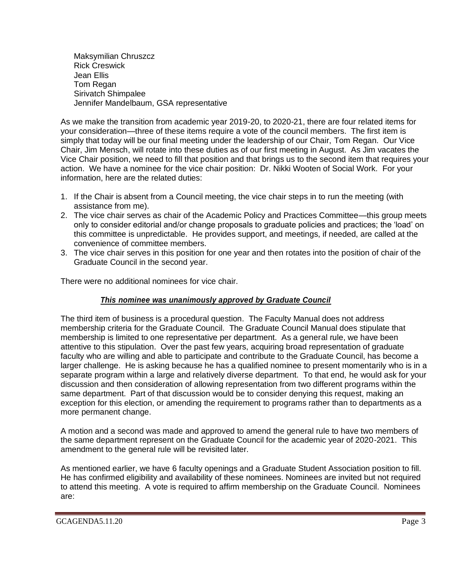Maksymilian Chruszcz Rick Creswick Jean Ellis Tom Regan Sirivatch Shimpalee Jennifer Mandelbaum, GSA representative

As we make the transition from academic year 2019-20, to 2020-21, there are four related items for your consideration—three of these items require a vote of the council members. The first item is simply that today will be our final meeting under the leadership of our Chair, Tom Regan. Our Vice Chair, Jim Mensch, will rotate into these duties as of our first meeting in August. As Jim vacates the Vice Chair position, we need to fill that position and that brings us to the second item that requires your action. We have a nominee for the vice chair position: Dr. Nikki Wooten of Social Work. For your information, here are the related duties:

- 1. If the Chair is absent from a Council meeting, the vice chair steps in to run the meeting (with assistance from me).
- 2. The vice chair serves as chair of the Academic Policy and Practices Committee—this group meets only to consider editorial and/or change proposals to graduate policies and practices; the 'load' on this committee is unpredictable. He provides support, and meetings, if needed, are called at the convenience of committee members.
- 3. The vice chair serves in this position for one year and then rotates into the position of chair of the Graduate Council in the second year.

There were no additional nominees for vice chair.

#### *This nominee was unanimously approved by Graduate Council*

The third item of business is a procedural question. The Faculty Manual does not address membership criteria for the Graduate Council. The Graduate Council Manual does stipulate that membership is limited to one representative per department. As a general rule, we have been attentive to this stipulation. Over the past few years, acquiring broad representation of graduate faculty who are willing and able to participate and contribute to the Graduate Council, has become a larger challenge. He is asking because he has a qualified nominee to present momentarily who is in a separate program within a large and relatively diverse department. To that end, he would ask for your discussion and then consideration of allowing representation from two different programs within the same department. Part of that discussion would be to consider denying this request, making an exception for this election, or amending the requirement to programs rather than to departments as a more permanent change.

A motion and a second was made and approved to amend the general rule to have two members of the same department represent on the Graduate Council for the academic year of 2020-2021. This amendment to the general rule will be revisited later.

As mentioned earlier, we have 6 faculty openings and a Graduate Student Association position to fill. He has confirmed eligibility and availability of these nominees. Nominees are invited but not required to attend this meeting. A vote is required to affirm membership on the Graduate Council. Nominees are: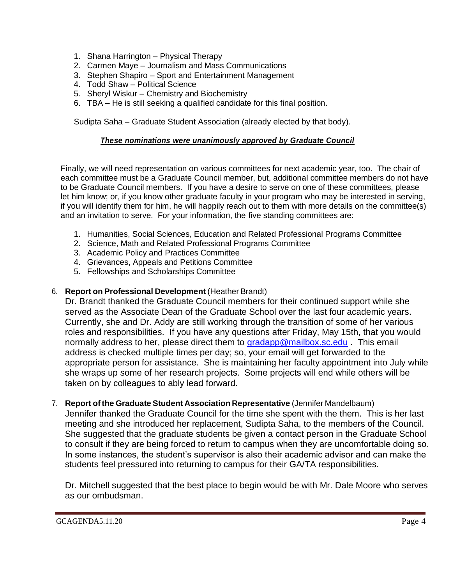- 1. Shana Harrington Physical Therapy
- 2. Carmen Maye Journalism and Mass Communications
- 3. Stephen Shapiro Sport and Entertainment Management
- 4. Todd Shaw Political Science
- 5. Sheryl Wiskur Chemistry and Biochemistry
- 6. TBA He is still seeking a qualified candidate for this final position.

Sudipta Saha – Graduate Student Association (already elected by that body).

## *These nominations were unanimously approved by Graduate Council*

Finally, we will need representation on various committees for next academic year, too. The chair of each committee must be a Graduate Council member, but, additional committee members do not have to be Graduate Council members. If you have a desire to serve on one of these committees, please let him know; or, if you know other graduate faculty in your program who may be interested in serving, if you will identify them for him, he will happily reach out to them with more details on the committee(s) and an invitation to serve. For your information, the five standing committees are:

- 1. Humanities, Social Sciences, Education and Related Professional Programs Committee
- 2. Science, Math and Related Professional Programs Committee
- 3. Academic Policy and Practices Committee
- 4. Grievances, Appeals and Petitions Committee
- 5. Fellowships and Scholarships Committee

## 6. **Report on Professional Development** (Heather Brandt)

Dr. Brandt thanked the Graduate Council members for their continued support while she served as the Associate Dean of the Graduate School over the last four academic years. Currently, she and Dr. Addy are still working through the transition of some of her various roles and responsibilities. If you have any questions after Friday, May 15th, that you would normally address to her, please direct them to [gradapp@mailbox.sc.edu](mailto:gradapp@mailbox.sc.edu). This email address is checked multiple times per day; so, your email will get forwarded to the appropriate person for assistance. She is maintaining her faculty appointment into July while she wraps up some of her research projects. Some projects will end while others will be taken on by colleagues to ably lead forward.

7. **Report of the Graduate Student Association Representative** (Jennifer Mandelbaum) Jennifer thanked the Graduate Council for the time she spent with the them. This is her last meeting and she introduced her replacement, Sudipta Saha, to the members of the Council. She suggested that the graduate students be given a contact person in the Graduate School to consult if they are being forced to return to campus when they are uncomfortable doing so. In some instances, the student's supervisor is also their academic advisor and can make the students feel pressured into returning to campus for their GA/TA responsibilities.

Dr. Mitchell suggested that the best place to begin would be with Mr. Dale Moore who serves as our ombudsman.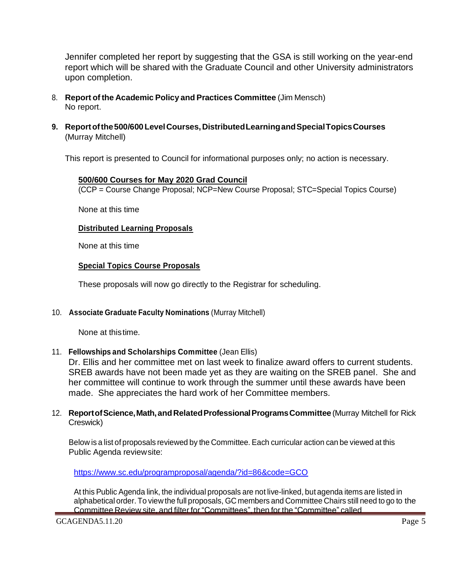Jennifer completed her report by suggesting that the GSA is still working on the year-end report which will be shared with the Graduate Council and other University administrators upon completion.

- 8. **Report of the Academic Policy and Practices Committee** (Jim Mensch) No report.
- **9. Reportofthe500/600LevelCourses,DistributedLearningandSpecialTopicsCourses** (Murray Mitchell)

This report is presented to Council for informational purposes only; no action is necessary.

#### **500/600 Courses for May 2020 Grad Council**

(CCP = Course Change Proposal; NCP=New Course Proposal; STC=Special Topics Course)

None at this time

### **Distributed Learning Proposals**

None at this time

### **Special Topics Course Proposals**

These proposals will now go directly to the Registrar for scheduling.

#### 10. **Associate Graduate Faculty Nominations** (Murray Mitchell)

None at thistime.

#### 11. **Fellowships and Scholarships Committee** (Jean Ellis)

Dr. Ellis and her committee met on last week to finalize award offers to current students. SREB awards have not been made yet as they are waiting on the SREB panel. She and her committee will continue to work through the summer until these awards have been made. She appreciates the hard work of her Committee members.

#### 12. **ReportofScience,Math,andRelatedProfessionalProgramsCommittee** (Murray Mitchell for Rick Creswick)

Below is a list of proposals reviewed by the Committee. Each curricular action can be viewed at this Public Agenda reviewsite:

<https://www.sc.edu/programproposal/agenda/?id=86&code=GCO>

At this Public Agenda link, the individual proposals are not live-linked, but agenda items are listed in alphabetical order. To view the full proposals, GC members and Committee Chairs still need to go to the Committee Review site, and filter for "Committees", then for the "Committee" called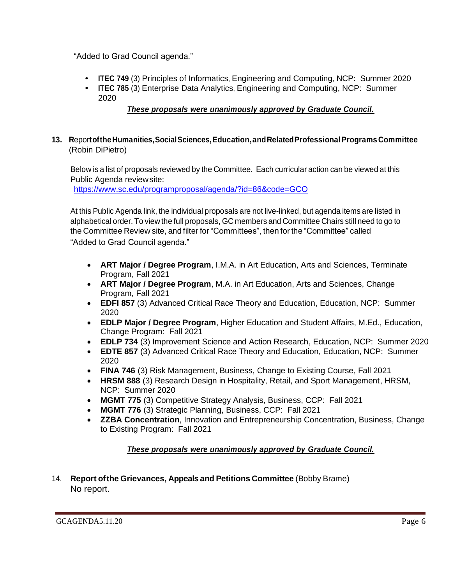"Added to Grad Council agenda."

- **ITEC 749** (3) Principles of Informatics, Engineering and Computing, NCP: Summer 2020
- **ITEC 785** (3) Enterprise Data Analytics, Engineering and Computing, NCP: Summer 2020

## *These proposals were unanimously approved by Graduate Council.*

### **13. R**epor**toftheHumanities,SocialSciences,Education,andRelatedProfessionalPrograms Committee** (Robin DiPietro)

Below is a list of proposals reviewed by the Committee. Each curricular action can be viewed at this Public Agenda reviewsite:

<https://www.sc.edu/programproposal/agenda/?id=86&code=GCO>

At this Public Agenda link, the individual proposals are not live-linked, but agenda items are listed in alphabetical order. To view the full proposals, GC members and Committee Chairs still need to go to the Committee Review site, and filter for "Committees", then for the "Committee" called "Added to Grad Council agenda."

- **ART Major / Degree Program**, I.M.A. in Art Education, Arts and Sciences, Terminate Program, Fall 2021
- **ART Major / Degree Program**, M.A. in Art Education, Arts and Sciences, Change Program, Fall 2021
- **EDFI 857** (3) Advanced Critical Race Theory and Education, Education, NCP: Summer 2020
- **EDLP Major / Degree Program**, Higher Education and Student Affairs, M.Ed., Education, Change Program: Fall 2021
- **EDLP 734** (3) Improvement Science and Action Research, Education, NCP: Summer 2020
- **EDTE 857** (3) Advanced Critical Race Theory and Education, Education, NCP: Summer 2020
- **FINA 746** (3) Risk Management, Business, Change to Existing Course, Fall 2021
- **HRSM 888** (3) Research Design in Hospitality, Retail, and Sport Management, HRSM, NCP: Summer 2020
- **MGMT 775** (3) Competitive Strategy Analysis, Business, CCP: Fall 2021
- **MGMT 776** (3) Strategic Planning, Business, CCP: Fall 2021
- **ZZBA Concentration**, Innovation and Entrepreneurship Concentration, Business, Change to Existing Program: Fall 2021

## *These proposals were unanimously approved by Graduate Council.*

14. **Report ofthe Grievances, Appeals and Petitions Committee** (Bobby Brame) No report.